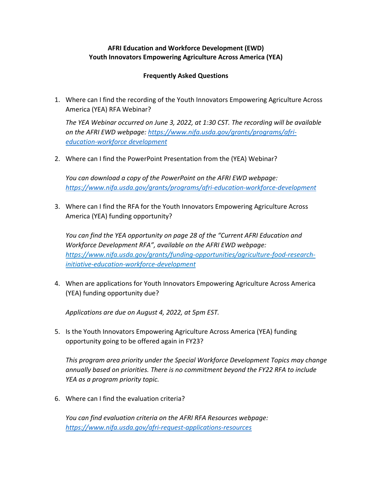# **AFRI Education and Workforce Development (EWD) Youth Innovators Empowering Agriculture Across America (YEA)**

## **Frequently Asked Questions**

1. Where can I find the recording of the Youth Innovators Empowering Agriculture Across America (YEA) RFA Webinar?

*The YEA Webinar occurred on June 3, 2022, at 1:30 CST. The recording will be available on the AFRI EWD webpage: [https://www.nifa.usda.gov/grants/programs/afri](https://www.nifa.usda.gov/grants/programs/afri-education-workforce%20development)[education-workforce development](https://www.nifa.usda.gov/grants/programs/afri-education-workforce%20development)*

2. Where can I find the PowerPoint Presentation from the (YEA) Webinar?

*You can download a copy of the PowerPoint on the AFRI EWD webpage: <https://www.nifa.usda.gov/grants/programs/afri-education-workforce-development>*

3. Where can I find the RFA for the Youth Innovators Empowering Agriculture Across America (YEA) funding opportunity?

*You can find the YEA opportunity on page 28 of the "Current AFRI Education and Workforce Development RFA", available on the AFRI EWD webpage: [https://www.nifa.usda.gov/grants/funding-opportunities/agriculture-food-research](https://www.nifa.usda.gov/grants/funding-opportunities/agriculture-food-research-initiative-education-workforce-development)[initiative-education-workforce-development](https://www.nifa.usda.gov/grants/funding-opportunities/agriculture-food-research-initiative-education-workforce-development)* 

4. When are applications for Youth Innovators Empowering Agriculture Across America (YEA) funding opportunity due?

*Applications are due on August 4, 2022, at 5pm EST.* 

5. Is the Youth Innovators Empowering Agriculture Across America (YEA) funding opportunity going to be offered again in FY23?

*This program area priority under the Special Workforce Development Topics may change annually based on priorities. There is no commitment beyond the FY22 RFA to include YEA as a program priority topic.* 

6. Where can I find the evaluation criteria?

*You can find evaluation criteria on the AFRI RFA Resources webpage: <https://www.nifa.usda.gov/afri-request-applications-resources>*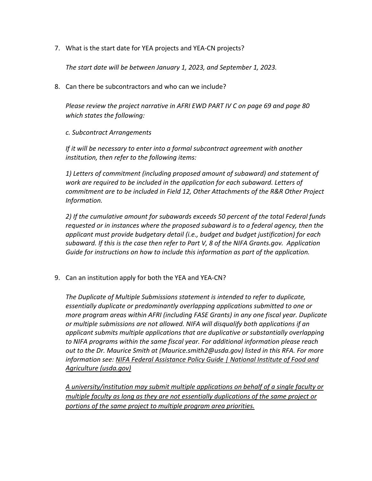7. What is the start date for YEA projects and YEA-CN projects?

*The start date will be between January 1, 2023, and September 1, 2023.*

8. Can there be subcontractors and who can we include?

*Please review the project narrative in AFRI EWD PART IV C on page 69 and page 80 which states the following:*

## *c. Subcontract Arrangements*

*If it will be necessary to enter into a formal subcontract agreement with another institution, then refer to the following items:* 

*1) Letters of commitment (including proposed amount of subaward) and statement of work are required to be included in the application for each subaward. Letters of commitment are to be included in Field 12, Other Attachments of the R&R Other Project Information.* 

*2) If the cumulative amount for subawards exceeds 50 percent of the total Federal funds requested or in instances where the proposed subaward is to a federal agency, then the applicant must provide budgetary detail (i.e., budget and budget justification) for each subaward. If this is the case then refer to Part V, 8 of the NIFA Grants.gov. Application Guide for instructions on how to include this information as part of the application.*

9. Can an institution apply for both the YEA and YEA-CN?

*The Duplicate of Multiple Submissions statement is intended to refer to duplicate, essentially duplicate or predominantly overlapping applications submitted to one or more program areas within AFRI (including FASE Grants) in any one fiscal year. Duplicate or multiple submissions are not allowed. NIFA will disqualify both applications if an applicant submits multiple applications that are duplicative or substantially overlapping to NIFA programs within the same fiscal year. For additional information please reach out to the Dr. Maurice Smith at (Maurice.smith2@usda.gov) listed in this RFA. For more information see: [NIFA Federal Assistance Policy Guide | National Institute of Food and](https://gcc02.safelinks.protection.outlook.com/?url=https%3A%2F%2Fnifa.usda.gov%2Fnifa-federal-assistance-policy-guide&data=04%7C01%7C%7C060eb1e6c5354c2f917008da17774e68%7Ced5b36e701ee4ebc867ee03cfa0d4697%7C0%7C0%7C637848098435045448%7CUnknown%7CTWFpbGZsb3d8eyJWIjoiMC4wLjAwMDAiLCJQIjoiV2luMzIiLCJBTiI6Ik1haWwiLCJXVCI6Mn0%3D%7C3000&sdata=aRcQg2iuyoTChtozWcIaG5lY2aMbW8tB7fXKOPqw4Qs%3D&reserved=0)  [Agriculture \(usda.gov\)](https://gcc02.safelinks.protection.outlook.com/?url=https%3A%2F%2Fnifa.usda.gov%2Fnifa-federal-assistance-policy-guide&data=04%7C01%7C%7C060eb1e6c5354c2f917008da17774e68%7Ced5b36e701ee4ebc867ee03cfa0d4697%7C0%7C0%7C637848098435045448%7CUnknown%7CTWFpbGZsb3d8eyJWIjoiMC4wLjAwMDAiLCJQIjoiV2luMzIiLCJBTiI6Ik1haWwiLCJXVCI6Mn0%3D%7C3000&sdata=aRcQg2iuyoTChtozWcIaG5lY2aMbW8tB7fXKOPqw4Qs%3D&reserved=0)*

*A university/institution may submit multiple applications on behalf of a single faculty or multiple faculty as long as they are not essentially duplications of the same project or portions of the same project to multiple program area priorities.*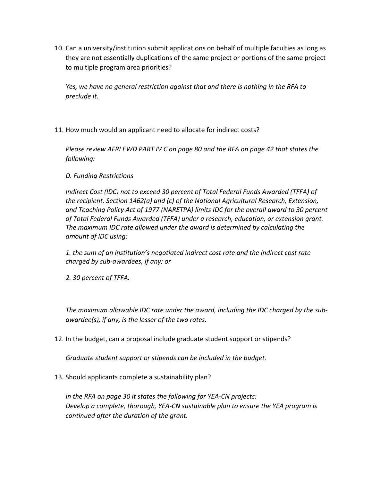10. Can a university/institution submit applications on behalf of multiple faculties as long as they are not essentially duplications of the same project or portions of the same project to multiple program area priorities?

*Yes, we have no general restriction against that and there is nothing in the RFA to preclude it.* 

11. How much would an applicant need to allocate for indirect costs?

*Please review AFRI EWD PART IV C on page 80 and the RFA on page 42 that states the following:*

*D. Funding Restrictions* 

*Indirect Cost (IDC) not to exceed 30 percent of Total Federal Funds Awarded (TFFA) of the recipient. Section 1462(a) and (c) of the National Agricultural Research, Extension, and Teaching Policy Act of 1977 (NARETPA) limits IDC for the overall award to 30 percent of Total Federal Funds Awarded (TFFA) under a research, education, or extension grant. The maximum IDC rate allowed under the award is determined by calculating the amount of IDC using:* 

*1. the sum of an institution's negotiated indirect cost rate and the indirect cost rate charged by sub-awardees, if any; or* 

*2. 30 percent of TFFA.* 

*The maximum allowable IDC rate under the award, including the IDC charged by the subawardee(s), if any, is the lesser of the two rates.*

12. In the budget, can a proposal include graduate student support or stipends?

*Graduate student support or stipends can be included in the budget.*

13. Should applicants complete a sustainability plan?

*In the RFA on page 30 it states the following for YEA-CN projects: Develop a complete, thorough, YEA-CN sustainable plan to ensure the YEA program is continued after the duration of the grant.*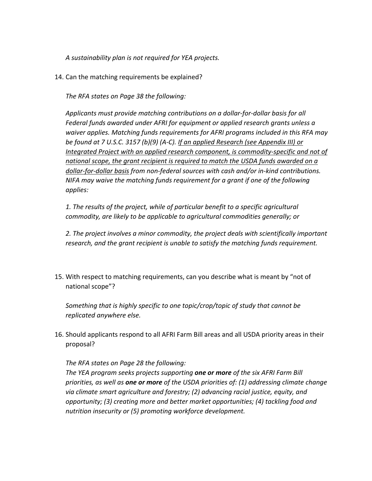*A sustainability plan is not required for YEA projects.*

14. Can the matching requirements be explained?

*The RFA states on Page 38 the following:*

*Applicants must provide matching contributions on a dollar-for-dollar basis for all Federal funds awarded under AFRI for equipment or applied research grants unless a waiver applies. Matching funds requirements for AFRI programs included in this RFA may be found at 7 U.S.C. 3157 (b)(9) (A-C). If an applied Research (see Appendix III) or Integrated Project with an applied research component, is commodity-specific and not of national scope, the grant recipient is required to match the USDA funds awarded on a dollar-for-dollar basis from non-federal sources with cash and/or in-kind contributions. NIFA may waive the matching funds requirement for a grant if one of the following applies:* 

*1. The results of the project, while of particular benefit to a specific agricultural commodity, are likely to be applicable to agricultural commodities generally; or* 

*2. The project involves a minor commodity, the project deals with scientifically important research, and the grant recipient is unable to satisfy the matching funds requirement.*

15. With respect to matching requirements, can you describe what is meant by "not of national scope"?

*Something that is highly specific to one topic/crop/topic of study that cannot be replicated anywhere else.*

16. Should applicants respond to all AFRI Farm Bill areas and all USDA priority areas in their proposal?

## *The RFA states on Page 28 the following:*

*The YEA program seeks projects supporting one or more of the six AFRI Farm Bill priorities, as well as one or more of the USDA priorities of: (1) addressing climate change via climate smart agriculture and forestry; (2) advancing racial justice, equity, and opportunity; (3) creating more and better market opportunities; (4) tackling food and nutrition insecurity or (5) promoting workforce development.*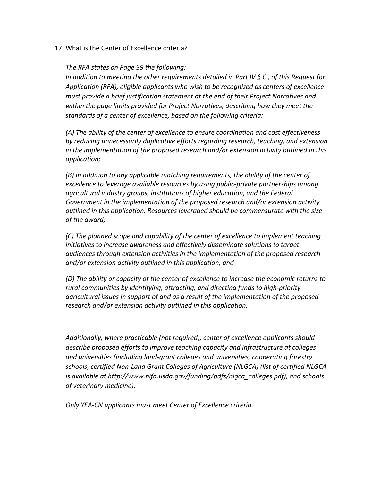17. What is the Center of Excellence criteria?

*The RFA states on Page 39 the following:*

*In addition to meeting the other requirements detailed in Part IV § C , of this Request for Application (RFA), eligible applicants who wish to be recognized as centers of excellence must provide a brief justification statement at the end of their Project Narratives and within the page limits provided for Project Narratives, describing how they meet the standards of a center of excellence, based on the following criteria:* 

*(A) The ability of the center of excellence to ensure coordination and cost effectiveness by reducing unnecessarily duplicative efforts regarding research, teaching, and extension in the implementation of the proposed research and/or extension activity outlined in this application;* 

*(B) In addition to any applicable matching requirements, the ability of the center of excellence to leverage available resources by using public-private partnerships among agricultural industry groups, institutions of higher education, and the Federal Government in the implementation of the proposed research and/or extension activity outlined in this application. Resources leveraged should be commensurate with the size of the award;* 

*(C) The planned scope and capability of the center of excellence to implement teaching initiatives to increase awareness and effectively disseminate solutions to target audiences through extension activities in the implementation of the proposed research and/or extension activity outlined in this application; and* 

*(D) The ability or capacity of the center of excellence to increase the economic returns to rural communities by identifying, attracting, and directing funds to high-priority agricultural issues in support of and as a result of the implementation of the proposed research and/or extension activity outlined in this application.* 

*Additionally, where practicable (not required), center of excellence applicants should describe proposed efforts to improve teaching capacity and infrastructure at colleges and universities (including land-grant colleges and universities, cooperating forestry schools, certified Non-Land Grant Colleges of Agriculture (NLGCA) (list of certified NLGCA is available at http://www.nifa.usda.gov/funding/pdfs/nlgca\_colleges.pdf), and schools of veterinary medicine).*

*Only YEA-CN applicants must meet Center of Excellence criteria.*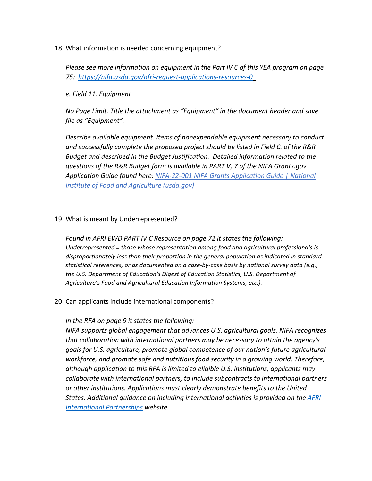18. What information is needed concerning equipment?

*Please see more information on equipment in the Part IV C of this YEA program on page 75: [https://nifa.usda.gov/afri-request-applications-resources-0](https://gcc02.safelinks.protection.outlook.com/?url=https%3A%2F%2Fnifa.usda.gov%2Fafri-request-applications-resources-0&data=05%7C01%7C%7C0cbe7c6e3c4c46921b9508da3d9149b1%7Ced5b36e701ee4ebc867ee03cfa0d4697%7C0%7C0%7C637889991589503612%7CUnknown%7CTWFpbGZsb3d8eyJWIjoiMC4wLjAwMDAiLCJQIjoiV2luMzIiLCJBTiI6Ik1haWwiLCJXVCI6Mn0%3D%7C3000%7C%7C%7C&sdata=uhpZNn8ads%2FgTgD517tHaGWr%2BMFjqH8Mq%2Biv%2BLg9ws4%3D&reserved=0)* 

## *e. Field 11. Equipment*

*No Page Limit. Title the attachment as "Equipment" in the document header and save file as "Equipment".*

*Describe available equipment. Items of nonexpendable equipment necessary to conduct and successfully complete the proposed project should be listed in Field C. of the R&R Budget and described in the Budget Justification. Detailed information related to the questions of the R&R Budget form is available in PART V, 7 of the NIFA Grants.gov Application Guide found here: [NIFA-22-001 NIFA Grants Application Guide | National](https://gcc02.safelinks.protection.outlook.com/?url=https%3A%2F%2Fwww.nifa.usda.gov%2Fnifa-22-001-nifa-grants-application-guide&data=05%7C01%7C%7C0cbe7c6e3c4c46921b9508da3d9149b1%7Ced5b36e701ee4ebc867ee03cfa0d4697%7C0%7C0%7C637889991589503612%7CUnknown%7CTWFpbGZsb3d8eyJWIjoiMC4wLjAwMDAiLCJQIjoiV2luMzIiLCJBTiI6Ik1haWwiLCJXVCI6Mn0%3D%7C3000%7C%7C%7C&sdata=ce0prdpHfo5UnwFQjbBd3ZHgrbaxDtrdHa1pCaAql9Y%3D&reserved=0)  [Institute of Food and Agriculture \(usda.gov\)](https://gcc02.safelinks.protection.outlook.com/?url=https%3A%2F%2Fwww.nifa.usda.gov%2Fnifa-22-001-nifa-grants-application-guide&data=05%7C01%7C%7C0cbe7c6e3c4c46921b9508da3d9149b1%7Ced5b36e701ee4ebc867ee03cfa0d4697%7C0%7C0%7C637889991589503612%7CUnknown%7CTWFpbGZsb3d8eyJWIjoiMC4wLjAwMDAiLCJQIjoiV2luMzIiLCJBTiI6Ik1haWwiLCJXVCI6Mn0%3D%7C3000%7C%7C%7C&sdata=ce0prdpHfo5UnwFQjbBd3ZHgrbaxDtrdHa1pCaAql9Y%3D&reserved=0)*

## 19. What is meant by Underrepresented?

*Found in AFRI EWD PART IV C Resource on page 72 it states the following: Underrepresented = those whose representation among food and agricultural professionals is disproportionately less than their proportion in the general population as indicated in standard statistical references, or as documented on a case-by-case basis by national survey data (e.g., the U.S. Department of Education's Digest of Education Statistics, U.S. Department of Agriculture's Food and Agricultural Education Information Systems, etc.).*

## 20. Can applicants include international components?

## *In the RFA on page 9 it states the following:*

*NIFA supports global engagement that advances U.S. agricultural goals. NIFA recognizes that collaboration with international partners may be necessary to attain the agency's goals for U.S. agriculture, promote global competence of our nation's future agricultural workforce, and promote safe and nutritious food security in a growing world. Therefore, although application to this RFA is limited to eligible U.S. institutions, applicants may collaborate with international partners, to include subcontracts to international partners or other institutions. Applications must clearly demonstrate benefits to the United States. Additional guidance on including international activities is provided on the [AFRI](https://www.nifa.usda.gov/afri-international-partnerships)  [International Partnerships](https://www.nifa.usda.gov/afri-international-partnerships) website.*